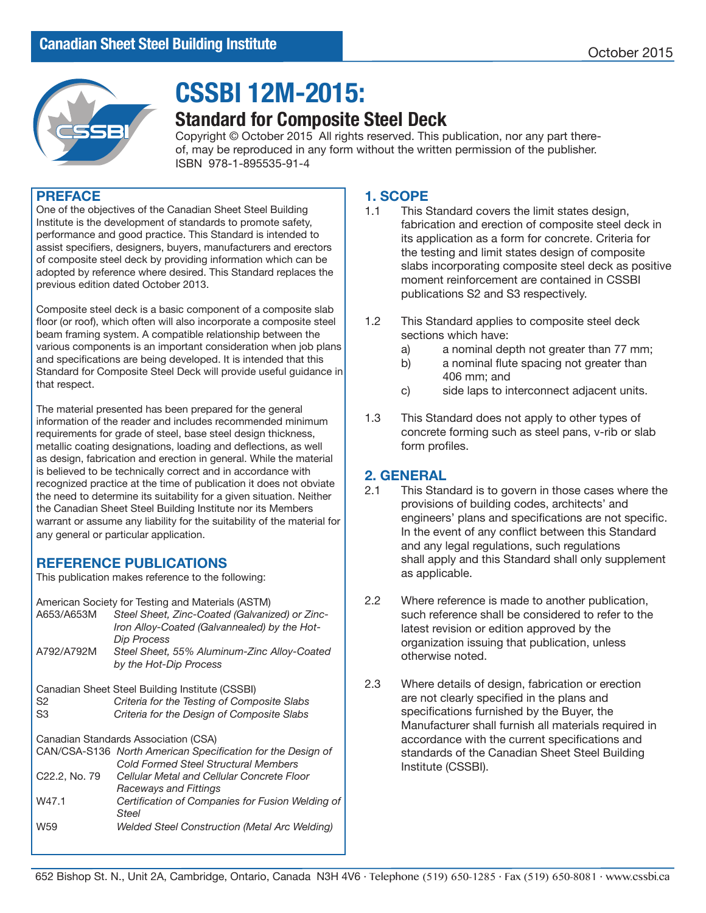

# **CSSBI 12M-2015:**

# **Standard for Composite Steel Deck**

Copyright © October 2015 All rights reserved. This publication, nor any part thereof, may be reproduced in any form without the written permission of the publisher. ISBN 978-1-895535-91-4

### **PREFACE**

One of the objectives of the Canadian Sheet Steel Building Institute is the development of standards to promote safety, performance and good practice. This Standard is intended to assist specifiers, designers, buyers, manufacturers and erectors of composite steel deck by providing information which can be adopted by reference where desired. This Standard replaces the previous edition dated October 2013.

Composite steel deck is a basic component of a composite slab floor (or roof), which often will also incorporate a composite steel beam framing system. A compatible relationship between the various components is an important consideration when job plans and specifications are being developed. It is intended that this Standard for Composite Steel Deck will provide useful guidance in that respect.

The material presented has been prepared for the general information of the reader and includes recommended minimum requirements for grade of steel, base steel design thickness, metallic coating designations, loading and deflections, as well as design, fabrication and erection in general. While the material is believed to be technically correct and in accordance with recognized practice at the time of publication it does not obviate the need to determine its suitability for a given situation. Neither the Canadian Sheet Steel Building Institute nor its Members warrant or assume any liability for the suitability of the material for any general or particular application.

# **REFERENCE PUBLICATIONS**

This publication makes reference to the following:

American Society for Testing and Materials (ASTM)<br>A653/A653M Steel Sheet Zinc-Coated (Galvanis Steel Sheet, Zinc-Coated (Galvanized) or Zinc-

|                            | $\frac{1}{2}$<br>Iron Alloy-Coated (Galvannealed) by the Hot-<br>Dip Process                               |
|----------------------------|------------------------------------------------------------------------------------------------------------|
| A792/A792M                 | Steel Sheet, 55% Aluminum-Zinc Alloy-Coated<br>by the Hot-Dip Process                                      |
|                            | Canadian Sheet Steel Building Institute (CSSBI)                                                            |
| S2                         | Criteria for the Testing of Composite Slabs                                                                |
| S <sub>3</sub>             | Criteria for the Design of Composite Slabs                                                                 |
|                            | Canadian Standards Association (CSA)                                                                       |
|                            | CAN/CSA-S136 North American Specification for the Design of<br><b>Cold Formed Steel Structural Members</b> |
| C <sub>22.2</sub> , No. 79 | Cellular Metal and Cellular Concrete Floor                                                                 |
| W47.1                      | <b>Raceways and Fittings</b><br>Certification of Companies for Fusion Welding of                           |
|                            | <b>Steel</b>                                                                                               |
| W <sub>59</sub>            | Welded Steel Construction (Metal Arc Welding)                                                              |
|                            |                                                                                                            |

# **1. SCOPE**<br>**1.1** This S

- This Standard covers the limit states design, fabrication and erection of composite steel deck in its application as a form for concrete. Criteria for the testing and limit states design of composite slabs incorporating composite steel deck as positive moment reinforcement are contained in CSSBI publications S2 and S3 respectively.
- 1.2 This Standard applies to composite steel deck sections which have:
	- a) a nominal depth not greater than 77 mm;
	- b) a nominal flute spacing not greater than 406 mm; and
	- c) side laps to interconnect adjacent units.
- 1.3 This Standard does not apply to other types of concrete forming such as steel pans, v-rib or slab form profiles.

## **2. GENERAL**

- 2.1 This Standard is to govern in those cases where the provisions of building codes, architects' and engineers' plans and specifications are not specific. In the event of any conflict between this Standard and any legal regulations, such regulations shall apply and this Standard shall only supplement as applicable.
- 2.2 Where reference is made to another publication, such reference shall be considered to refer to the latest revision or edition approved by the organization issuing that publication, unless otherwise noted.
- 2.3 Where details of design, fabrication or erection are not clearly specified in the plans and specifications furnished by the Buyer, the Manufacturer shall furnish all materials required in accordance with the current specifications and standards of the Canadian Sheet Steel Building Institute (CSSBI).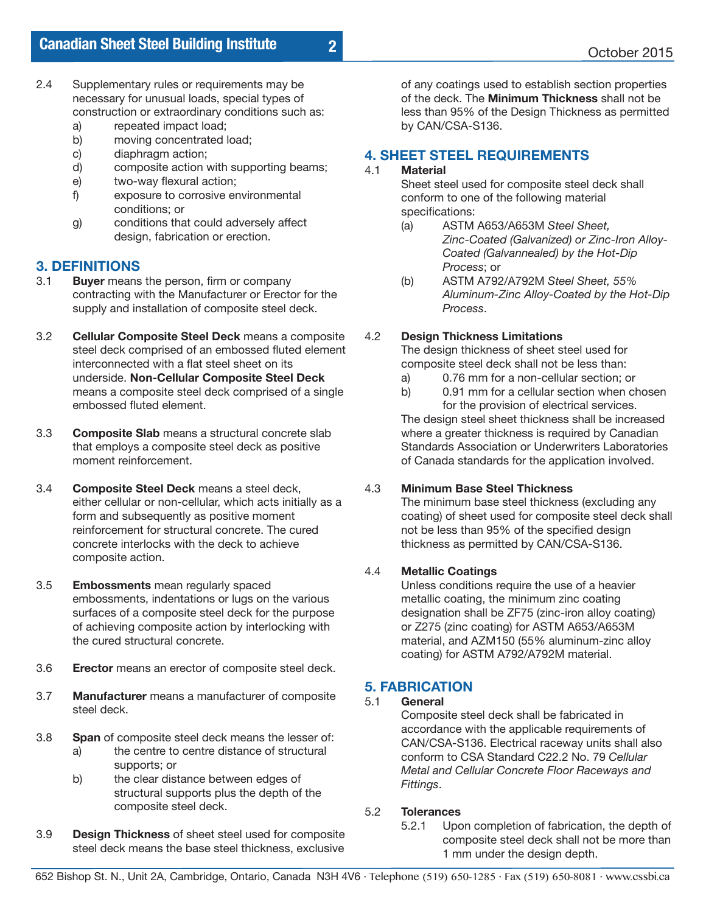- 2.4 Supplementary rules or requirements may be necessary for unusual loads, special types of construction or extraordinary conditions such as:
	- a) repeated impact load;<br>b) moving concentrated l
	- b) moving concentrated load;<br>c) diaphragm action;
	- c) diaphragm action;<br>d) composite action
	- d) composite action with supporting beams;<br>e) two-way flexural action;
	- two-way flexural action;
	- f) exposure to corrosive environmental conditions; or
	- g) conditions that could adversely affect design, fabrication or erection.

# **3.1 Buyer means**

- **Buyer** means the person, firm or company contracting with the Manufacturer or Erector for the supply and installation of composite steel deck.
- 3.2 **Cellular Composite Steel Deck** means a composite steel deck comprised of an embossed fluted element interconnected with a flat steel sheet on its underside. **Non-Cellular Composite Steel Deck** means a composite steel deck comprised of a single embossed fluted element.
- 3.3 **Composite Slab** means a structural concrete slab that employs a composite steel deck as positive moment reinforcement.
- 3.4 **Composite Steel Deck** means a steel deck, either cellular or non-cellular, which acts initially as a form and subsequently as positive moment reinforcement for structural concrete. The cured concrete interlocks with the deck to achieve composite action.
- 3.5 **Embossments** mean regularly spaced embossments, indentations or lugs on the various surfaces of a composite steel deck for the purpose of achieving composite action by interlocking with the cured structural concrete.
- 3.6 **Erector** means an erector of composite steel deck.
- 3.7 **Manufacturer** means a manufacturer of composite steel deck.
- 3.8 **Span** of composite steel deck means the lesser of:
	- a) the centre to centre distance of structural supports; or
	- b) the clear distance between edges of structural supports plus the depth of the composite steel deck.
- 3.9 **Design Thickness** of sheet steel used for composite steel deck means the base steel thickness, exclusive

of any coatings used to establish section properties of the deck. The **Minimum Thickness** shall not be less than 95% of the Design Thickness as permitted by CAN/CSA-S136.

# **4. SHEET STEEL REQUIREMENTS**

## **Material**

Sheet steel used for composite steel deck shall conform to one of the following material specifications:

- (a) ASTM A653/A653M *Steel Sheet, Zinc-Coated (Galvanized) or Zinc-Iron Alloy- Coated (Galvannealed) by the Hot-Dip Process*; or
- (b) ASTM A792/A792M *Steel Sheet, 55% Aluminum-Zinc Alloy-Coated by the Hot-Dip Process*.

## 4.2 **Design Thickness Limitations**

The design thickness of sheet steel used for composite steel deck shall not be less than:

- a) 0.76 mm for a non-cellular section; or
- b) 0.91 mm for a cellular section when chosen for the provision of electrical services.

The design steel sheet thickness shall be increased where a greater thickness is required by Canadian Standards Association or Underwriters Laboratories of Canada standards for the application involved.

## 4.3 **Minimum Base Steel Thickness**

The minimum base steel thickness (excluding any coating) of sheet used for composite steel deck shall not be less than 95% of the specified design thickness as permitted by CAN/CSA-S136.

## 4.4 **Metallic Coatings**

Unless conditions require the use of a heavier metallic coating, the minimum zinc coating designation shall be ZF75 (zinc-iron alloy coating) or Z275 (zinc coating) for ASTM A653/A653M material, and AZM150 (55% aluminum-zinc alloy coating) for ASTM A792/A792M material.

# **5. FABRICATION**

## 5.1 **General**

Composite steel deck shall be fabricated in accordance with the applicable requirements of CAN/CSA-S136. Electrical raceway units shall also conform to CSA Standard C22.2 No. 79 *Cellular Metal and Cellular Concrete Floor Raceways and Fittings*.

# 5.2 **Tolerances**

Upon completion of fabrication, the depth of composite steel deck shall not be more than 1 mm under the design depth.

**2**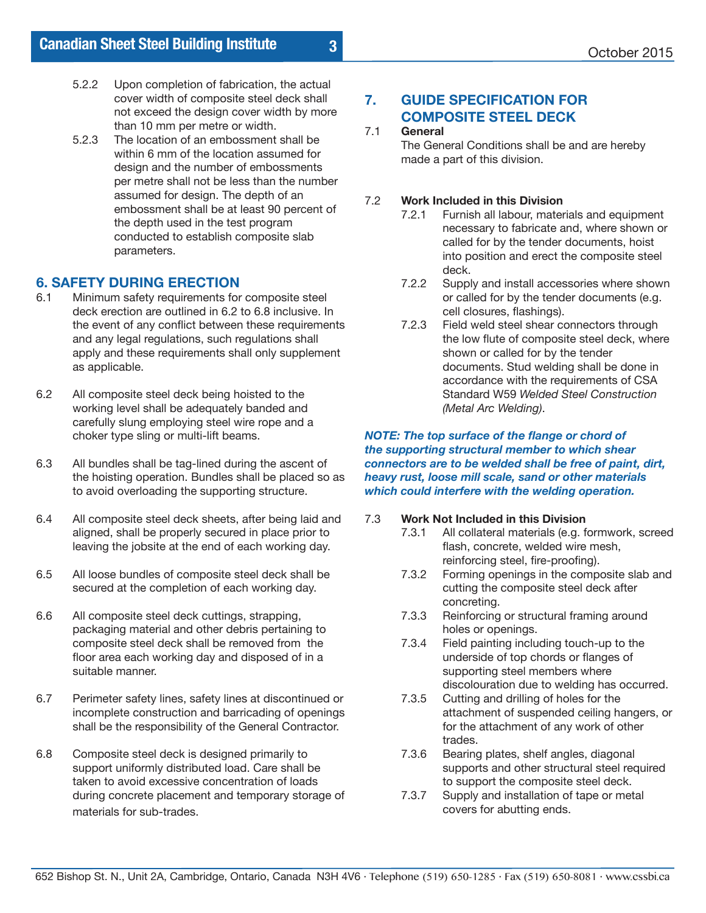- 5.2.2 Upon completion of fabrication, the actual cover width of composite steel deck shall not exceed the design cover width by more than 10 mm per metre or width.<br>5.2.3 The location of an embossment
- The location of an embossment shall be within 6 mm of the location assumed for design and the number of embossments per metre shall not be less than the number assumed for design. The depth of an embossment shall be at least 90 percent of the depth used in the test program conducted to establish composite slab parameters.

# **6. SAFETY DURING ERECTION**<br>6.1 Minimum safety requirements for

- Minimum safety requirements for composite steel deck erection are outlined in 6.2 to 6.8 inclusive. In the event of any conflict between these requirements and any legal regulations, such regulations shall apply and these requirements shall only supplement as applicable.
- 6.2 All composite steel deck being hoisted to the working level shall be adequately banded and carefully slung employing steel wire rope and a choker type sling or multi-lift beams.
- 6.3 All bundles shall be tag-lined during the ascent of the hoisting operation. Bundles shall be placed so as to avoid overloading the supporting structure.
- 6.4 All composite steel deck sheets, after being laid and aligned, shall be properly secured in place prior to leaving the jobsite at the end of each working day.
- 6.5 All loose bundles of composite steel deck shall be secured at the completion of each working day.
- 6.6 All composite steel deck cuttings, strapping, packaging material and other debris pertaining to composite steel deck shall be removed from the floor area each working day and disposed of in a suitable manner.
- 6.7 Perimeter safety lines, safety lines at discontinued or incomplete construction and barricading of openings shall be the responsibility of the General Contractor.
- 6.8 Composite steel deck is designed primarily to support uniformly distributed load. Care shall be taken to avoid excessive concentration of loads during concrete placement and temporary storage of materials for sub-trades.

## **7. GUIDE SPECIFICATION FOR COMPOSITE STEEL DECK**

#### 7.1 **General**

**3**

The General Conditions shall be and are hereby made a part of this division.

#### 7.2 **Work Included in this Division**

- 7.2.1 Furnish all labour, materials and equipment necessary to fabricate and, where shown or called for by the tender documents, hoist into position and erect the composite steel deck.
- 7.2.2 Supply and install accessories where shown or called for by the tender documents (e.g. cell closures, flashings).
- 7.2.3 Field weld steel shear connectors through the low flute of composite steel deck, where shown or called for by the tender documents. Stud welding shall be done in accordance with the requirements of CSA Standard W59 *Welded Steel Construction (Metal Arc Welding)*.

#### *NOTE: The top surface of the flange or chord of the supporting structural member to which shear connectors are to be welded shall be free of paint, dirt, heavy rust, loose mill scale, sand or other materials which could interfere with the welding operation.*

#### 7.3 **Work Not Included in this Division**

- 7.3.1 All collateral materials (e.g. formwork, screed flash, concrete, welded wire mesh, reinforcing steel, fire-proofing).
	- 7.3.2 Forming openings in the composite slab and cutting the composite steel deck after concreting.
	- 7.3.3 Reinforcing or structural framing around holes or openings.
- 7.3.4 Field painting including touch-up to the underside of top chords or flanges of supporting steel members where
- discolouration due to welding has occurred.<br>7.3.5 Cutting and drilling of holes for the Cutting and drilling of holes for the attachment of suspended ceiling hangers, or for the attachment of any work of other trades.<br>7.3.6 Bearing
- Bearing plates, shelf angles, diagonal supports and other structural steel required to support the composite steel deck.
- 7.3.7 Supply and installation of tape or metal covers for abutting ends.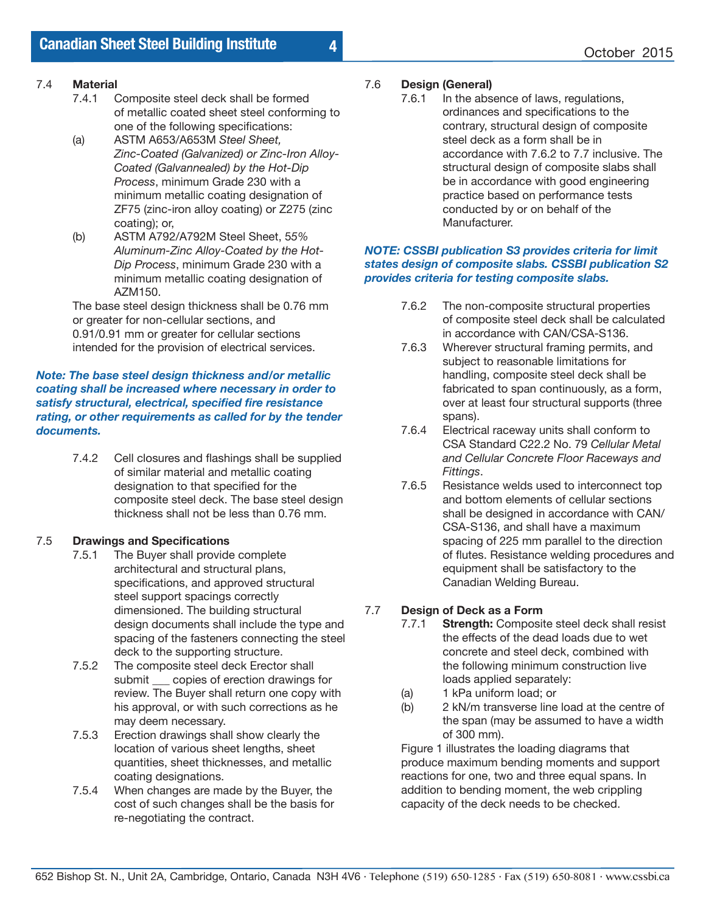### 7.4 **Material**

- 7.4.1 Composite steel deck shall be formed of metallic coated sheet steel conforming to one of the following specifications:
- (a) ASTM A653/A653M *Steel Sheet, Zinc-Coated (Galvanized) or Zinc-Iron Alloy- Coated (Galvannealed) by the Hot-Dip Process*, minimum Grade 230 with a minimum metallic coating designation of ZF75 (zinc-iron alloy coating) or Z275 (zinc coating); or,
- (b) ASTM A792/A792M Steel Sheet, 5*5% Aluminum-Zinc Alloy-Coated by the Hot- Dip Process*, minimum Grade 230 with a minimum metallic coating designation of AZM150.

The base steel design thickness shall be 0.76 mm or greater for non-cellular sections, and 0.91/0.91 mm or greater for cellular sections intended for the provision of electrical services.

#### *Note: The base steel design thickness and/or metallic coating shall be increased where necessary in order to satisfy structural, electrical, specified fire resistance rating, or other requirements as called for by the tender documents.*

7.4.2 Cell closures and flashings shall be supplied of similar material and metallic coating designation to that specified for the composite steel deck. The base steel design thickness shall not be less than 0.76 mm.

### 7.5 **Drawings and Specifications**

- 7.5.1 The Buyer shall provide complete architectural and structural plans, specifications, and approved structural steel support spacings correctly dimensioned. The building structural design documents shall include the type and spacing of the fasteners connecting the steel deck to the supporting structure.<br>7.5.2 The composite steel deck Erector
- The composite steel deck Erector shall submit copies of erection drawings for review. The Buyer shall return one copy with his approval, or with such corrections as he may deem necessary.<br>7.5.3 Erection drawings sha
- Erection drawings shall show clearly the location of various sheet lengths, sheet quantities, sheet thicknesses, and metallic coating designations.
- 7.5.4 When changes are made by the Buyer, the cost of such changes shall be the basis for re-negotiating the contract.

# 7.6 **Design (General)**

In the absence of laws, regulations, ordinances and specifications to the contrary, structural design of composite steel deck as a form shall be in accordance with 7.6.2 to 7.7 inclusive. The structural design of composite slabs shall be in accordance with good engineering practice based on performance tests conducted by or on behalf of the Manufacturer.

#### *NOTE: CSSBI publication S3 provides criteria for limit states design of composite slabs. CSSBI publication S2 provides criteria for testing composite slabs.*

- 7.6.2 The non-composite structural properties of composite steel deck shall be calculated in accordance with CAN/CSA-S136.
- 7.6.3 Wherever structural framing permits, and subject to reasonable limitations for handling, composite steel deck shall be fabricated to span continuously, as a form, over at least four structural supports (three spans).
- 7.6.4 Electrical raceway units shall conform to CSA Standard C22.2 No. 79 *Cellular Metal and Cellular Concrete Floor Raceways and Fittings.*<br>7.6.5 Resistar
- Resistance welds used to interconnect top and bottom elements of cellular sections shall be designed in accordance with CAN/ CSA-S136, and shall have a maximum spacing of 225 mm parallel to the direction of flutes. Resistance welding procedures and equipment shall be satisfactory to the Canadian Welding Bureau.

### 7.7 **Design of Deck as a Form**

- 7.7.1 **Strength:** Composite steel deck shall resist the effects of the dead loads due to wet concrete and steel deck, combined with the following minimum construction live loads applied separately:
	- (a) 1 kPa uniform load; or
	- (b) 2 kN/m transverse line load at the centre of the span (may be assumed to have a width of 300 mm).

Figure 1 illustrates the loading diagrams that produce maximum bending moments and support reactions for one, two and three equal spans. In addition to bending moment, the web crippling capacity of the deck needs to be checked.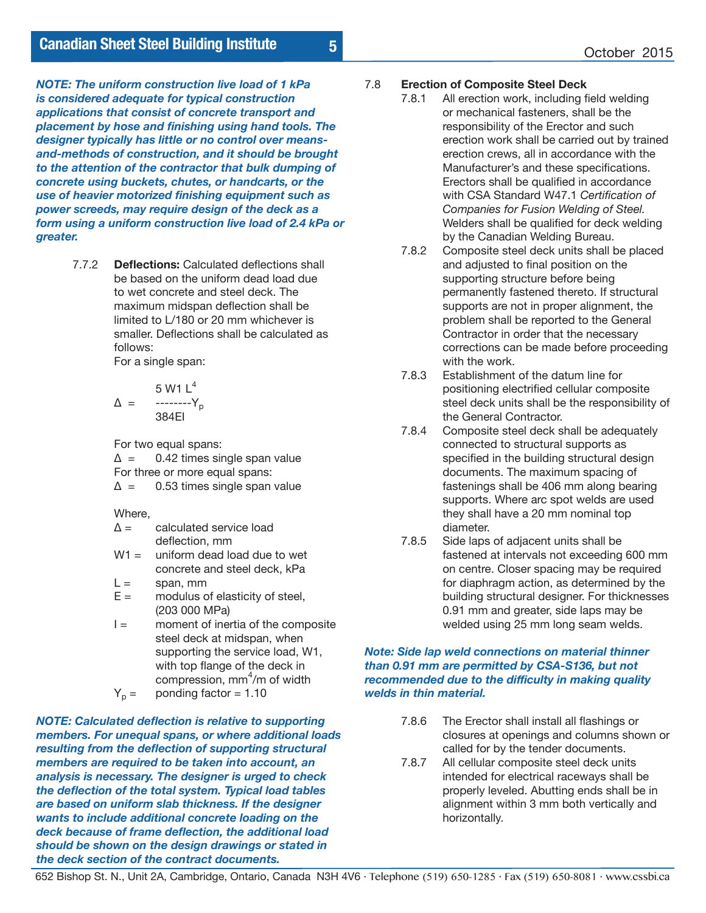*NOTE: The uniform construction live load of 1 kPa is considered adequate for typical construction applications that consist of concrete transport and placement by hose and finishing using hand tools. The designer typically has little or no control over meansand-methods of construction, and it should be brought to the attention of the contractor that bulk dumping of concrete using buckets, chutes, or handcarts, or the use of heavier motorized finishing equipment such as power screeds, may require design of the deck as a form using a uniform construction live load of 2.4 kPa or greater.*

> 7.7.2 **Deflections:** Calculated deflections shall be based on the uniform dead load due to wet concrete and steel deck. The maximum midspan deflection shall be limited to L/180 or 20 mm whichever is smaller. Deflections shall be calculated as follows:

For a single span:

$$
\Delta = \frac{5 \text{ W1 L}^4}{384 \text{ E1}}
$$

For two equal spans:

 $\Delta$  = 0.42 times single span value For three or more equal spans:  $\Delta$  = 0.53 times single span value

Where,

- $\Delta$  = calculated service load deflection, mm
- $W1 =$  uniform dead load due to wet concrete and steel deck, kPa
- $L =$  span, mm
- $E =$  modulus of elasticity of steel, (203 000 MPa)
- $I =$  moment of inertia of the composite steel deck at midspan, when supporting the service load, W1, with top flange of the deck in compression, mm<sup>4</sup>/m of width
	- $Y_p =$  ponding factor = 1.10

*NOTE: Calculated deflection is relative to supporting members. For unequal spans, or where additional loads resulting from the deflection of supporting structural members are required to be taken into account, an analysis is necessary. The designer is urged to check the deflection of the total system. Typical load tables are based on uniform slab thickness. If the designer wants to include additional concrete loading on the deck because of frame deflection, the additional load should be shown on the design drawings or stated in the deck section of the contract documents.*

#### 7.8 **Erection of Composite Steel Deck**

**5**

- 7.8.1 All erection work, including field welding or mechanical fasteners, shall be the responsibility of the Erector and such erection work shall be carried out by trained erection crews, all in accordance with the Manufacturer's and these specifications. Erectors shall be qualified in accordance with CSA Standard W47.1 *Certification of Companies for Fusion Welding of Steel.* Welders shall be qualified for deck welding by the Canadian Welding Bureau.
- 7.8.2 Composite steel deck units shall be placed and adjusted to final position on the supporting structure before being permanently fastened thereto. If structural supports are not in proper alignment, the problem shall be reported to the General Contractor in order that the necessary corrections can be made before proceeding with the work.
- 7.8.3 Establishment of the datum line for positioning electrified cellular composite steel deck units shall be the responsibility of the General Contractor.<br>7.8.4 Composite steel deck s
- Composite steel deck shall be adequately connected to structural supports as specified in the building structural design documents. The maximum spacing of fastenings shall be 406 mm along bearing supports. Where arc spot welds are used they shall have a 20 mm nominal top diameter.
- 7.8.5 Side laps of adjacent units shall be fastened at intervals not exceeding 600 mm on centre. Closer spacing may be required for diaphragm action, as determined by the building structural designer. For thicknesses 0.91 mm and greater, side laps may be welded using 25 mm long seam welds.

#### *Note: Side lap weld connections on material thinner than 0.91 mm are permitted by CSA-S136, but not recommended due to the difficulty in making quality welds in thin material.*

- 7.8.6 The Erector shall install all flashings or closures at openings and columns shown or called for by the tender documents.<br>7.8.7 All cellular composite steel deck unit
- All cellular composite steel deck units intended for electrical raceways shall be properly leveled. Abutting ends shall be in alignment within 3 mm both vertically and horizontally.

652 Bishop St. N., Unit 2A, Cambridge, Ontario, Canada N3H 4V6 · Telephone (519) 650-1285 · Fax (519) 650-8081 · www.cssbi.ca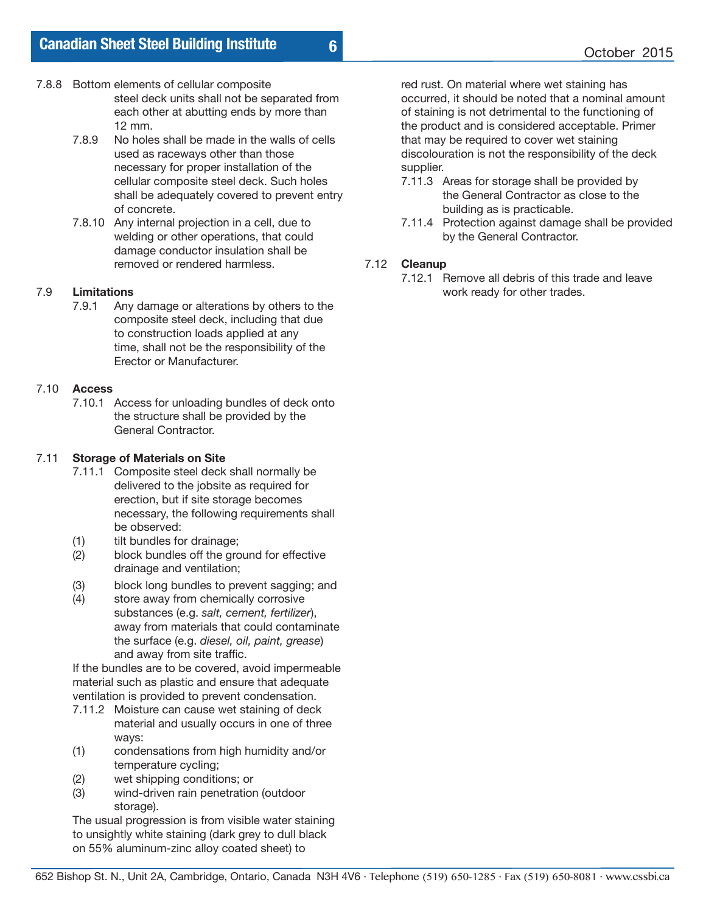### 7.8.8 Bottom elements of cellular composite steel deck units shall not be separated from each other at abutting ends by more than 12 mm.<br>7.8.9 No hole

- No holes shall be made in the walls of cells used as raceways other than those necessary for proper installation of the cellular composite steel deck. Such holes shall be adequately covered to prevent entry of concrete.
- 7.8.10 Any internal projection in a cell, due to welding or other operations, that could damage conductor insulation shall be removed or rendered harmless.

# 7.9 **Limitations**

Any damage or alterations by others to the composite steel deck, including that due to construction loads applied at any time, shall not be the responsibility of the Erector or Manufacturer.

#### 7.10 **Access**

7.10.1 Access for unloading bundles of deck onto the structure shall be provided by the General Contractor.

#### 7.11 **Storage of Materials on Site**

- 7.11.1 Composite steel deck shall normally be delivered to the jobsite as required for erection, but if site storage becomes necessary, the following requirements shall be observed:
- (1) tilt bundles for drainage;
- (2) block bundles off the ground for effective drainage and ventilation;
- (3) block long bundles to prevent sagging; and
- (4) store away from chemically corrosive substances (e.g. *salt, cement, fertilizer*), away from materials that could contaminate the surface (e.g. *diesel, oil, paint, grease*) and away from site traffic.

If the bundles are to be covered, avoid impermeable material such as plastic and ensure that adequate ventilation is provided to prevent condensation.

- 7.11.2 Moisture can cause wet staining of deck material and usually occurs in one of three ways:
- (1) condensations from high humidity and/or temperature cycling;
- (2) wet shipping conditions; or
- (3) wind-driven rain penetration (outdoor storage).

The usual progression is from visible water staining to unsightly white staining (dark grey to dull black on 55% aluminum-zinc alloy coated sheet) to

red rust. On material where wet staining has occurred, it should be noted that a nominal amount of staining is not detrimental to the functioning of the product and is considered acceptable. Primer that may be required to cover wet staining discolouration is not the responsibility of the deck supplier.

- 7.11.3 Areas for storage shall be provided by the General Contractor as close to the building as is practicable.
- 7.11.4 Protection against damage shall be provided by the General Contractor.

### 7.12 **Cleanup**

**6**

7.12.1 Remove all debris of this trade and leave work ready for other trades.